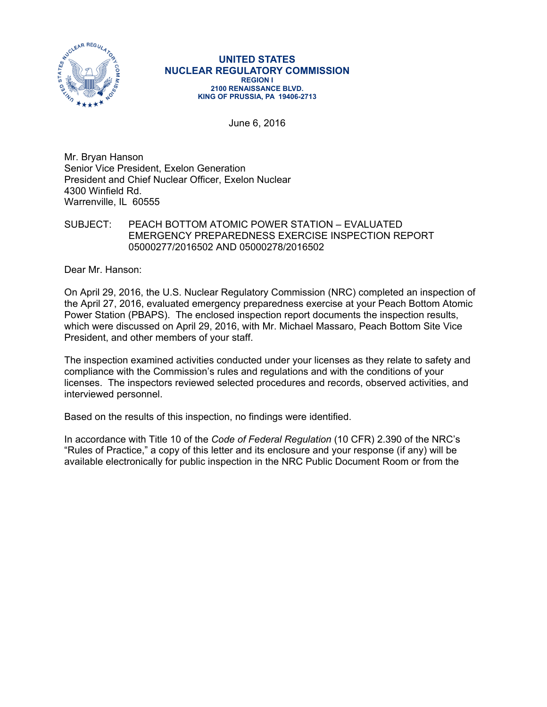

#### **UNITED STATES NUCLEAR REGULATORY COMMISSION REGION I 2100 RENAISSANCE BLVD. KING OF PRUSSIA, PA 19406-2713**

June 6, 2016

Mr. Bryan Hanson Senior Vice President, Exelon Generation President and Chief Nuclear Officer, Exelon Nuclear 4300 Winfield Rd. Warrenville, IL 60555

### SUBJECT: PEACH BOTTOM ATOMIC POWER STATION – EVALUATED EMERGENCY PREPAREDNESS EXERCISE INSPECTION REPORT 05000277/2016502 AND 05000278/2016502

Dear Mr. Hanson:

On April 29, 2016, the U.S. Nuclear Regulatory Commission (NRC) completed an inspection of the April 27, 2016, evaluated emergency preparedness exercise at your Peach Bottom Atomic Power Station (PBAPS). The enclosed inspection report documents the inspection results, which were discussed on April 29, 2016, with Mr. Michael Massaro, Peach Bottom Site Vice President, and other members of your staff.

The inspection examined activities conducted under your licenses as they relate to safety and compliance with the Commission's rules and regulations and with the conditions of your licenses. The inspectors reviewed selected procedures and records, observed activities, and interviewed personnel.

Based on the results of this inspection, no findings were identified.

In accordance with Title 10 of the *Code of Federal Regulation* (10 CFR) 2.390 of the NRC's "Rules of Practice," a copy of this letter and its enclosure and your response (if any) will be available electronically for public inspection in the NRC Public Document Room or from the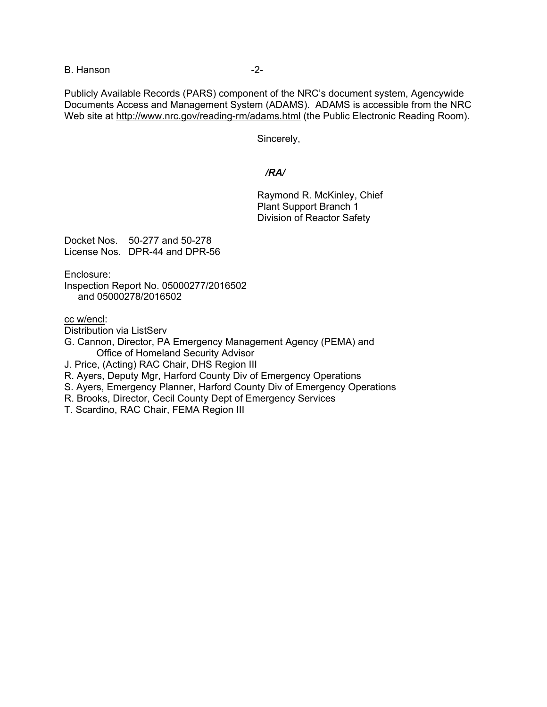B. Hanson **B.** Hanson

Publicly Available Records (PARS) component of the NRC's document system, Agencywide Documents Access and Management System (ADAMS). ADAMS is accessible from the NRC Web site at http://www.nrc.gov/reading-rm/adams.html (the Public Electronic Reading Room).

Sincerely,

# */RA/*

 Raymond R. McKinley, Chief Plant Support Branch 1 Division of Reactor Safety

Docket Nos. 50-277 and 50-278 License Nos. DPR-44 and DPR-56

Enclosure:

Inspection Report No. 05000277/2016502 and 05000278/2016502

cc w/encl:

Distribution via ListServ

G. Cannon, Director, PA Emergency Management Agency (PEMA) and Office of Homeland Security Advisor

J. Price, (Acting) RAC Chair, DHS Region III

R. Ayers, Deputy Mgr, Harford County Div of Emergency Operations

- S. Ayers, Emergency Planner, Harford County Div of Emergency Operations
- R. Brooks, Director, Cecil County Dept of Emergency Services
- T. Scardino, RAC Chair, FEMA Region III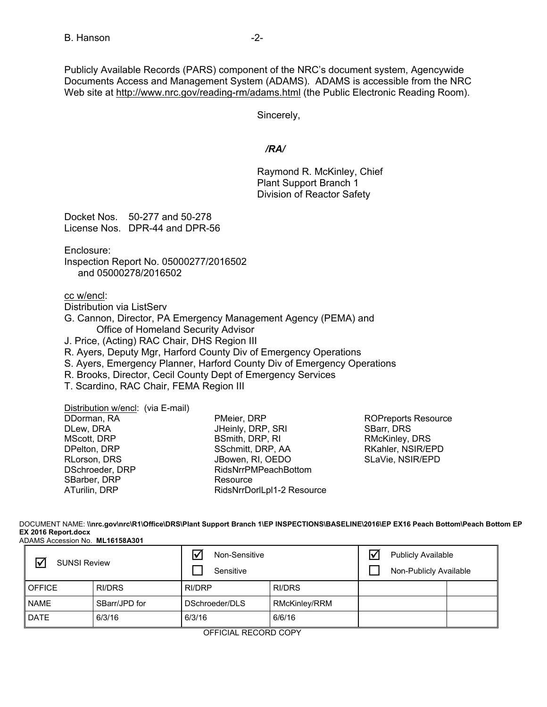Publicly Available Records (PARS) component of the NRC's document system, Agencywide Documents Access and Management System (ADAMS). ADAMS is accessible from the NRC Web site at http://www.nrc.gov/reading-rm/adams.html (the Public Electronic Reading Room).

Sincerely,

# */RA/*

 Raymond R. McKinley, Chief Plant Support Branch 1 Division of Reactor Safety

Docket Nos. 50-277 and 50-278 License Nos. DPR-44 and DPR-56

Enclosure:

Inspection Report No. 05000277/2016502 and 05000278/2016502

cc w/encl:

Distribution via ListServ G. Cannon, Director, PA Emergency Management Agency (PEMA) and Office of Homeland Security Advisor J. Price, (Acting) RAC Chair, DHS Region III R. Ayers, Deputy Mgr, Harford County Div of Emergency Operations

S. Ayers, Emergency Planner, Harford County Div of Emergency Operations

R. Brooks, Director, Cecil County Dept of Emergency Services

T. Scardino, RAC Chair, FEMA Region III

Distribution w/encl: (via E-mail)

DDorman, RA DLew, DRA MScott, DRP DPelton, DRP RLorson, DRS DSchroeder, DRP SBarber, DRP ATurilin, DRP

PMeier, DRP JHeinly, DRP, SRI BSmith, DRP, RI SSchmitt, DRP, AA JBowen, RI, OEDO RidsNrrPMPeachBottom Resource RidsNrrDorlLpl1-2 Resource

ROPreports Resource SBarr, DRS RMcKinley, DRS RKahler, NSIR/EPD SLaVie, NSIR/EPD

DOCUMENT NAME: **\\nrc.gov\nrc\R1\Office\DRS\Plant Support Branch 1\EP INSPECTIONS\BASELINE\2016\EP EX16 Peach Bottom\Peach Bottom EP EX 2016 Report.docx** ADAMS Accession No. **ML16158A301**

| <b>SUNSI Review</b> |               | Non-Sensitive<br>Sensitive |               | <b>Publicly Available</b><br>Non-Publicly Available |  |
|---------------------|---------------|----------------------------|---------------|-----------------------------------------------------|--|
| <b>OFFICE</b>       | RI/DRS        | RI/DRP                     | RI/DRS        |                                                     |  |
| <b>NAME</b>         | SBarr/JPD for | DSchroeder/DLS             | RMcKinley/RRM |                                                     |  |
| <b>DATE</b>         | 6/3/16        | 6/3/16                     | 6/6/16        |                                                     |  |

OFFICIAL RECORD COPY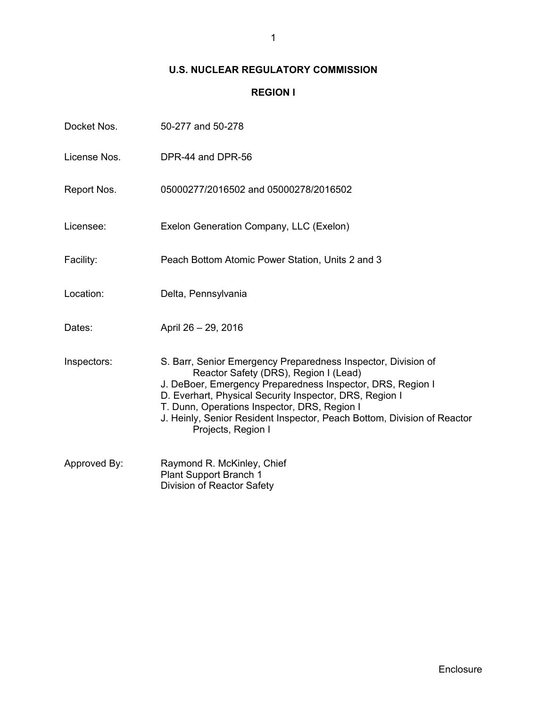# **U.S. NUCLEAR REGULATORY COMMISSION**

# **REGION I**

| Docket Nos.  | 50-277 and 50-278                                                                                                                                                                                                                                                                                                                                                                |
|--------------|----------------------------------------------------------------------------------------------------------------------------------------------------------------------------------------------------------------------------------------------------------------------------------------------------------------------------------------------------------------------------------|
| License Nos. | DPR-44 and DPR-56                                                                                                                                                                                                                                                                                                                                                                |
| Report Nos.  | 05000277/2016502 and 05000278/2016502                                                                                                                                                                                                                                                                                                                                            |
| Licensee:    | Exelon Generation Company, LLC (Exelon)                                                                                                                                                                                                                                                                                                                                          |
| Facility:    | Peach Bottom Atomic Power Station, Units 2 and 3                                                                                                                                                                                                                                                                                                                                 |
| Location:    | Delta, Pennsylvania                                                                                                                                                                                                                                                                                                                                                              |
| Dates:       | April 26 - 29, 2016                                                                                                                                                                                                                                                                                                                                                              |
| Inspectors:  | S. Barr, Senior Emergency Preparedness Inspector, Division of<br>Reactor Safety (DRS), Region I (Lead)<br>J. DeBoer, Emergency Preparedness Inspector, DRS, Region I<br>D. Everhart, Physical Security Inspector, DRS, Region I<br>T. Dunn, Operations Inspector, DRS, Region I<br>J. Heinly, Senior Resident Inspector, Peach Bottom, Division of Reactor<br>Projects, Region I |
| Approved By: | Raymond R. McKinley, Chief<br>Plant Support Branch 1<br>Division of Reactor Safety                                                                                                                                                                                                                                                                                               |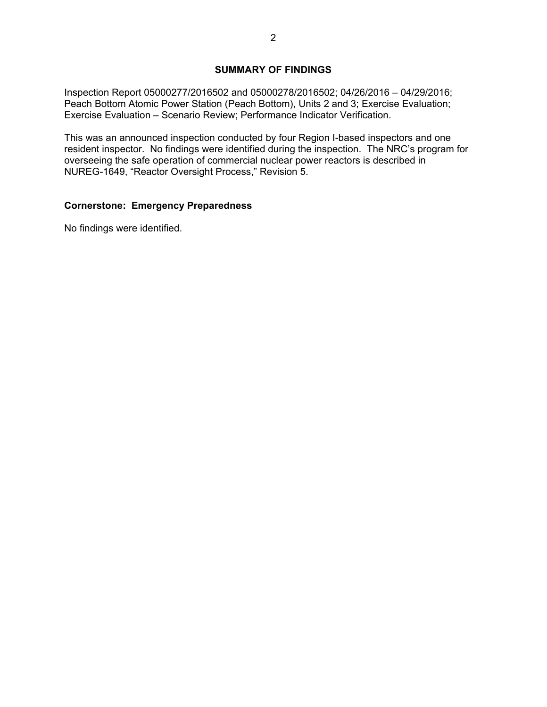# **SUMMARY OF FINDINGS**

Inspection Report 05000277/2016502 and 05000278/2016502; 04/26/2016 – 04/29/2016; Peach Bottom Atomic Power Station (Peach Bottom), Units 2 and 3; Exercise Evaluation; Exercise Evaluation – Scenario Review; Performance Indicator Verification.

This was an announced inspection conducted by four Region I-based inspectors and one resident inspector. No findings were identified during the inspection. The NRC's program for overseeing the safe operation of commercial nuclear power reactors is described in NUREG-1649, "Reactor Oversight Process," Revision 5.

# **Cornerstone: Emergency Preparedness**

No findings were identified.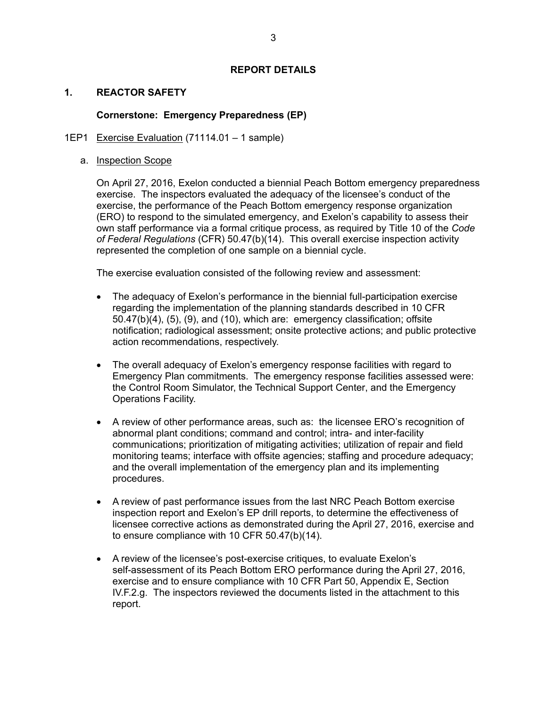## **REPORT DETAILS**

# **1. REACTOR SAFETY**

# **Cornerstone: Emergency Preparedness (EP)**

## 1EP1 Exercise Evaluation (71114.01 – 1 sample)

## a. Inspection Scope

On April 27, 2016, Exelon conducted a biennial Peach Bottom emergency preparedness exercise. The inspectors evaluated the adequacy of the licensee's conduct of the exercise, the performance of the Peach Bottom emergency response organization (ERO) to respond to the simulated emergency, and Exelon's capability to assess their own staff performance via a formal critique process, as required by Title 10 of the *Code of Federal Regulations* (CFR) 50.47(b)(14). This overall exercise inspection activity represented the completion of one sample on a biennial cycle.

The exercise evaluation consisted of the following review and assessment:

- The adequacy of Exelon's performance in the biennial full-participation exercise regarding the implementation of the planning standards described in 10 CFR 50.47(b)(4), (5), (9), and (10), which are: emergency classification; offsite notification; radiological assessment; onsite protective actions; and public protective action recommendations, respectively.
- The overall adequacy of Exelon's emergency response facilities with regard to Emergency Plan commitments. The emergency response facilities assessed were: the Control Room Simulator, the Technical Support Center, and the Emergency Operations Facility.
- A review of other performance areas, such as: the licensee ERO's recognition of abnormal plant conditions; command and control; intra- and inter-facility communications; prioritization of mitigating activities; utilization of repair and field monitoring teams; interface with offsite agencies; staffing and procedure adequacy; and the overall implementation of the emergency plan and its implementing procedures.
- A review of past performance issues from the last NRC Peach Bottom exercise inspection report and Exelon's EP drill reports, to determine the effectiveness of licensee corrective actions as demonstrated during the April 27, 2016, exercise and to ensure compliance with 10 CFR 50.47(b)(14).
- A review of the licensee's post-exercise critiques, to evaluate Exelon's self-assessment of its Peach Bottom ERO performance during the April 27, 2016, exercise and to ensure compliance with 10 CFR Part 50, Appendix E, Section IV.F.2.g. The inspectors reviewed the documents listed in the attachment to this report.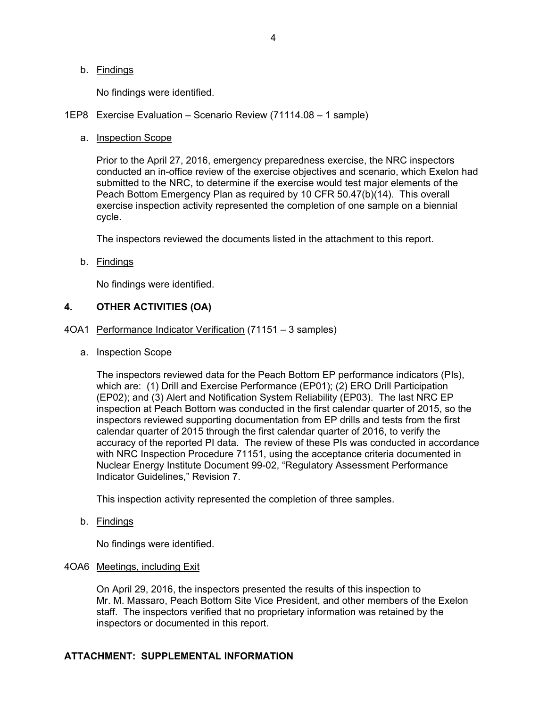## b. Findings

No findings were identified.

### 1EP8 Exercise Evaluation – Scenario Review (71114.08 – 1 sample)

a. Inspection Scope

Prior to the April 27, 2016, emergency preparedness exercise, the NRC inspectors conducted an in-office review of the exercise objectives and scenario, which Exelon had submitted to the NRC, to determine if the exercise would test major elements of the Peach Bottom Emergency Plan as required by 10 CFR 50.47(b)(14). This overall exercise inspection activity represented the completion of one sample on a biennial cycle.

The inspectors reviewed the documents listed in the attachment to this report.

b. Findings

No findings were identified.

## **4. OTHER ACTIVITIES (OA)**

- 4OA1 Performance Indicator Verification (71151 3 samples)
	- a. Inspection Scope

The inspectors reviewed data for the Peach Bottom EP performance indicators (PIs), which are: (1) Drill and Exercise Performance (EP01); (2) ERO Drill Participation (EP02); and (3) Alert and Notification System Reliability (EP03). The last NRC EP inspection at Peach Bottom was conducted in the first calendar quarter of 2015, so the inspectors reviewed supporting documentation from EP drills and tests from the first calendar quarter of 2015 through the first calendar quarter of 2016, to verify the accuracy of the reported PI data. The review of these PIs was conducted in accordance with NRC Inspection Procedure 71151, using the acceptance criteria documented in Nuclear Energy Institute Document 99-02, "Regulatory Assessment Performance Indicator Guidelines," Revision 7.

This inspection activity represented the completion of three samples.

b. Findings

No findings were identified.

#### 4OA6 Meetings, including Exit

On April 29, 2016, the inspectors presented the results of this inspection to Mr. M. Massaro, Peach Bottom Site Vice President, and other members of the Exelon staff. The inspectors verified that no proprietary information was retained by the inspectors or documented in this report.

## **ATTACHMENT: SUPPLEMENTAL INFORMATION**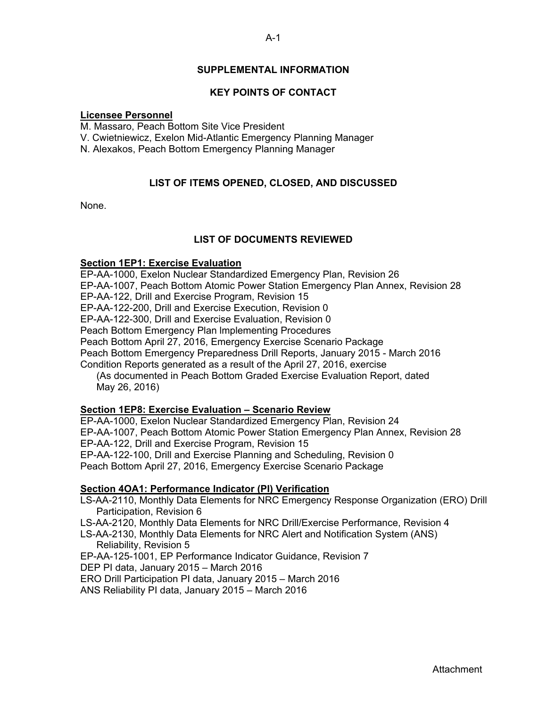# **SUPPLEMENTAL INFORMATION**

# **KEY POINTS OF CONTACT**

### **Licensee Personnel**

M. Massaro, Peach Bottom Site Vice President

V. Cwietniewicz, Exelon Mid-Atlantic Emergency Planning Manager

N. Alexakos, Peach Bottom Emergency Planning Manager

# **LIST OF ITEMS OPENED, CLOSED, AND DISCUSSED**

None.

# **LIST OF DOCUMENTS REVIEWED**

## **Section 1EP1: Exercise Evaluation**

EP-AA-1000, Exelon Nuclear Standardized Emergency Plan, Revision 26 EP-AA-1007, Peach Bottom Atomic Power Station Emergency Plan Annex, Revision 28 EP-AA-122, Drill and Exercise Program, Revision 15 EP-AA-122-200, Drill and Exercise Execution, Revision 0 EP-AA-122-300, Drill and Exercise Evaluation, Revision 0 Peach Bottom Emergency Plan lmplementing Procedures Peach Bottom April 27, 2016, Emergency Exercise Scenario Package Peach Bottom Emergency Preparedness Drill Reports, January 2015 - March 2016 Condition Reports generated as a result of the April 27, 2016, exercise (As documented in Peach Bottom Graded Exercise Evaluation Report, dated May 26, 2016)

## **Section 1EP8: Exercise Evaluation – Scenario Review**

EP-AA-1000, Exelon Nuclear Standardized Emergency Plan, Revision 24 EP-AA-1007, Peach Bottom Atomic Power Station Emergency Plan Annex, Revision 28 EP-AA-122, Drill and Exercise Program, Revision 15 EP-AA-122-100, Drill and Exercise Planning and Scheduling, Revision 0 Peach Bottom April 27, 2016, Emergency Exercise Scenario Package

## **Section 4OA1: Performance Indicator (PI) Verification**

- LS-AA-2110, Monthly Data Elements for NRC Emergency Response Organization (ERO) Drill Participation, Revision 6
- LS-AA-2120, Monthly Data Elements for NRC Drill/Exercise Performance, Revision 4
- LS-AA-2130, Monthly Data Elements for NRC Alert and Notification System (ANS) Reliability, Revision 5

EP-AA-125-1001, EP Performance Indicator Guidance, Revision 7

DEP PI data, January 2015 – March 2016

ERO Drill Participation PI data, January 2015 – March 2016

ANS Reliability PI data, January 2015 – March 2016